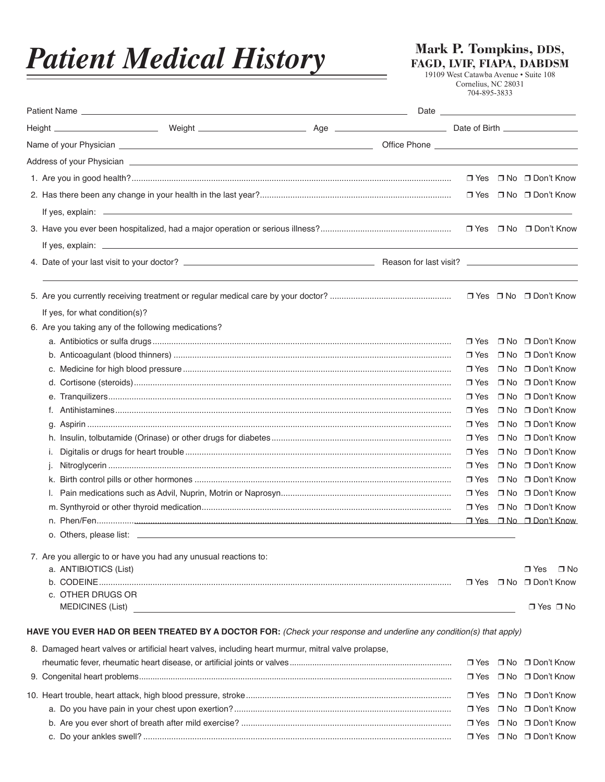## *Patient Medical History*

**Mark P. Tompkins, DDS, FAGD, LVIF, FIAPA, DABDSM**

19109 West Catawba Avenue • Suite 108 Cornelius, NC 28031 704-895-3833

|                                |                                                                                                                    | Date and the contract of the contract of the contract of the contract of the contract of the contract of the contract of the contract of the contract of the contract of the contract of the contract of the contract of the c |            |                   |                                        |  |
|--------------------------------|--------------------------------------------------------------------------------------------------------------------|--------------------------------------------------------------------------------------------------------------------------------------------------------------------------------------------------------------------------------|------------|-------------------|----------------------------------------|--|
|                                |                                                                                                                    |                                                                                                                                                                                                                                |            |                   |                                        |  |
|                                |                                                                                                                    |                                                                                                                                                                                                                                |            |                   |                                        |  |
|                                |                                                                                                                    |                                                                                                                                                                                                                                |            |                   |                                        |  |
|                                |                                                                                                                    |                                                                                                                                                                                                                                |            |                   | □ Yes □ No □ Don't Know                |  |
|                                |                                                                                                                    |                                                                                                                                                                                                                                |            |                   | □ Yes □ No □ Don't Know                |  |
|                                |                                                                                                                    |                                                                                                                                                                                                                                |            |                   |                                        |  |
|                                |                                                                                                                    |                                                                                                                                                                                                                                |            |                   |                                        |  |
|                                |                                                                                                                    |                                                                                                                                                                                                                                |            |                   |                                        |  |
|                                |                                                                                                                    |                                                                                                                                                                                                                                |            |                   |                                        |  |
|                                |                                                                                                                    |                                                                                                                                                                                                                                |            |                   | □ Yes □ No □ Don't Know                |  |
| If yes, for what condition(s)? |                                                                                                                    |                                                                                                                                                                                                                                |            |                   |                                        |  |
|                                | 6. Are you taking any of the following medications?                                                                |                                                                                                                                                                                                                                |            |                   |                                        |  |
|                                |                                                                                                                    |                                                                                                                                                                                                                                | $\Box$ Yes |                   | $\Box$ No $\Box$ Don't Know            |  |
|                                |                                                                                                                    |                                                                                                                                                                                                                                | $\Box$ Yes |                   | □ No □ Don't Know                      |  |
|                                |                                                                                                                    |                                                                                                                                                                                                                                | $\Box$ Yes |                   | □ No □ Don't Know                      |  |
|                                |                                                                                                                    |                                                                                                                                                                                                                                | $\Box$ Yes |                   | □ No □ Don't Know                      |  |
|                                |                                                                                                                    |                                                                                                                                                                                                                                | $\Box$ Yes |                   | □ No □ Don't Know                      |  |
| f.                             |                                                                                                                    |                                                                                                                                                                                                                                | □ Yes      |                   | □ No □ Don't Know                      |  |
|                                |                                                                                                                    |                                                                                                                                                                                                                                | $\Box$ Yes |                   | □ No □ Don't Know                      |  |
|                                |                                                                                                                    |                                                                                                                                                                                                                                | $\Box$ Yes |                   | □ No □ Don't Know                      |  |
| Ι.                             |                                                                                                                    |                                                                                                                                                                                                                                | $\Box$ Yes |                   | □ No □ Don't Know                      |  |
|                                |                                                                                                                    |                                                                                                                                                                                                                                | $\Box$ Yes |                   | □ No □ Don't Know                      |  |
|                                |                                                                                                                    |                                                                                                                                                                                                                                | $\Box$ Yes |                   | □ No □ Don't Know                      |  |
|                                |                                                                                                                    |                                                                                                                                                                                                                                | □ Yes      |                   | □ No □ Don't Know                      |  |
|                                |                                                                                                                    |                                                                                                                                                                                                                                | $\Box$ Yes |                   | □ No □ Don't Know                      |  |
|                                |                                                                                                                    |                                                                                                                                                                                                                                |            |                   | $\Box$ Yes $\Box$ No $\Box$ Don't Know |  |
|                                |                                                                                                                    |                                                                                                                                                                                                                                |            |                   |                                        |  |
|                                | 7. Are you allergic to or have you had any unusual reactions to:                                                   |                                                                                                                                                                                                                                |            |                   |                                        |  |
| a. ANTIBIOTICS (List)          |                                                                                                                    |                                                                                                                                                                                                                                |            |                   | $\Box$ No<br>$\Box$ Yes                |  |
| c. OTHER DRUGS OR              |                                                                                                                    |                                                                                                                                                                                                                                | □ Yes      |                   | □ No □ Don't Know                      |  |
|                                |                                                                                                                    |                                                                                                                                                                                                                                |            |                   | $\Box$ Yes $\Box$ No                   |  |
|                                | HAVE YOU EVER HAD OR BEEN TREATED BY A DOCTOR FOR: (Check your response and underline any condition(s) that apply) |                                                                                                                                                                                                                                |            |                   |                                        |  |
|                                | 8. Damaged heart valves or artificial heart valves, including heart murmur, mitral valve prolapse,                 |                                                                                                                                                                                                                                |            |                   |                                        |  |
|                                |                                                                                                                    |                                                                                                                                                                                                                                | $\Box$ Yes |                   | □ No □ Don't Know                      |  |
|                                |                                                                                                                    | $\Box$ Yes                                                                                                                                                                                                                     |            | □ No □ Don't Know |                                        |  |
|                                |                                                                                                                    |                                                                                                                                                                                                                                | $\Box$ Yes |                   | □ No □ Don't Know                      |  |
|                                |                                                                                                                    |                                                                                                                                                                                                                                | $\Box$ Yes |                   | □ No □ Don't Know                      |  |
|                                |                                                                                                                    |                                                                                                                                                                                                                                | $\Box$ Yes |                   | □ No □ Don't Know                      |  |
|                                |                                                                                                                    |                                                                                                                                                                                                                                |            |                   | □ Yes □ No □ Don't Know                |  |
|                                |                                                                                                                    |                                                                                                                                                                                                                                |            |                   |                                        |  |